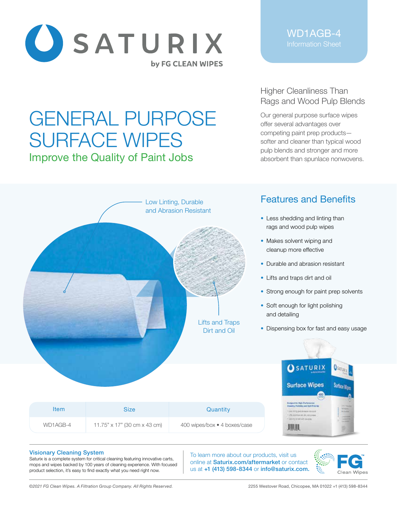

# GENERAL PURPOSE SURFACE WIPES Improve the Quality of Paint Jobs

WD1AGB-4

## Higher Cleanliness Than Rags and Wood Pulp Blends

Our general purpose surface wipes offer several advantages over competing paint prep products softer and cleaner than typical wood pulp blends and stronger and more absorbent than spunlace nonwovens.



### Visionary Cleaning System

Saturix is a complete system for critical cleaning featuring innovative carts, mops and wipes backed by 100 years of cleaning experience. With focused product selection, it's easy to find exactly what you need right now.

To learn more about our products, visit us online at Saturix.com/aftermarket or contact us at +1 (413) 598-8344 or info@saturix.com.